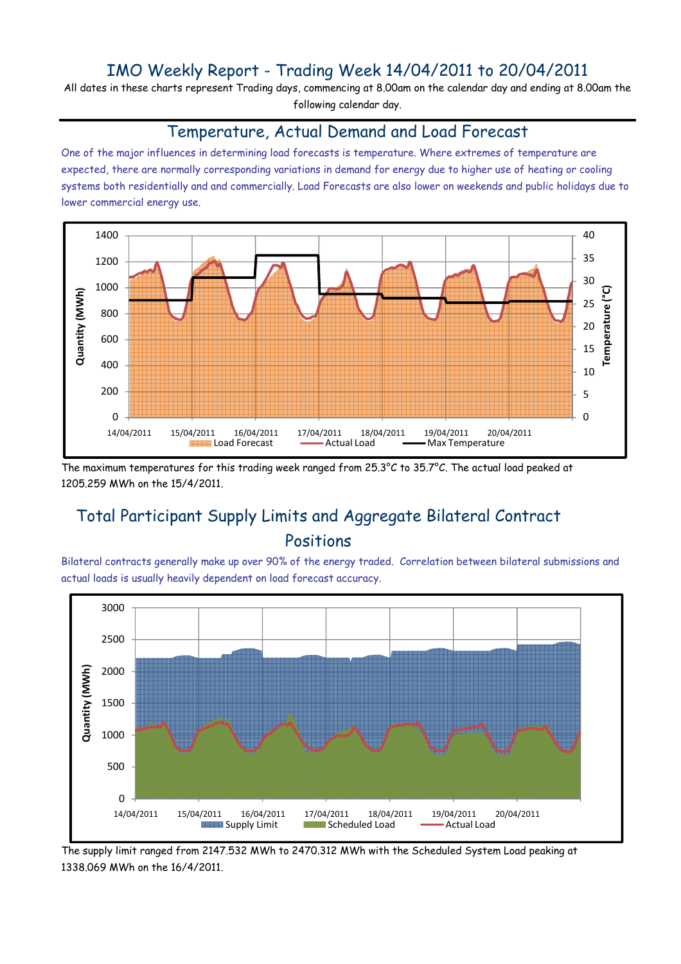# IMO Weekly Report - Trading Week 14/04/2011 to 20/04/2011

All dates in these charts represent Trading days, commencing at 8.00am on the calendar day and ending at 8.00am the following calendar day.

#### Temperature, Actual Demand and Load Forecast

One of the major influences in determining load forecasts is temperature. Where extremes of temperature are expected, there are normally corresponding variations in demand for energy due to higher use of heating or cooling systems both residentially and and commercially. Load Forecasts are also lower on weekends and public holidays due to lower commercial energy use.



The maximum temperatures for this trading week ranged from 25.3°C to 35.7°C. The actual load peaked at 1205.259 MWh on the 15/4/2011.

# Total Participant Supply Limits and Aggregate Bilateral Contract Positions

Bilateral contracts generally make up over 90% of the energy traded. Correlation between bilateral submissions and actual loads is usually heavily dependent on load forecast accuracy.



The supply limit ranged from 2147.532 MWh to 2470.312 MWh with the Scheduled System Load peaking at 1338.069 MWh on the 16/4/2011.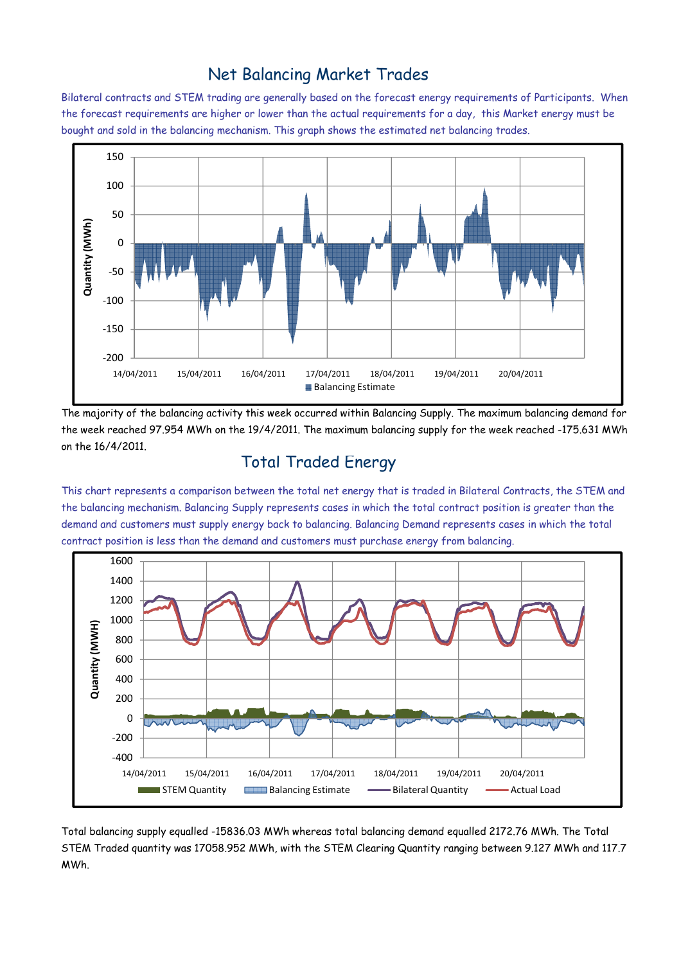## Net Balancing Market Trades

Bilateral contracts and STEM trading are generally based on the forecast energy requirements of Participants. When the forecast requirements are higher or lower than the actual requirements for a day, this Market energy must be bought and sold in the balancing mechanism. This graph shows the estimated net balancing trades.



The majority of the balancing activity this week occurred within Balancing Supply. The maximum balancing demand for the week reached 97.954 MWh on the 19/4/2011. The maximum balancing supply for the week reached -175.631 MWh on the 16/4/2011.

### Total Traded Energy

This chart represents a comparison between the total net energy that is traded in Bilateral Contracts, the STEM and the balancing mechanism. Balancing Supply represents cases in which the total contract position is greater than the demand and customers must supply energy back to balancing. Balancing Demand represents cases in which the total contract position is less than the demand and customers must purchase energy from balancing.



Total balancing supply equalled -15836.03 MWh whereas total balancing demand equalled 2172.76 MWh. The Total STEM Traded quantity was 17058.952 MWh, with the STEM Clearing Quantity ranging between 9.127 MWh and 117.7 MWh.